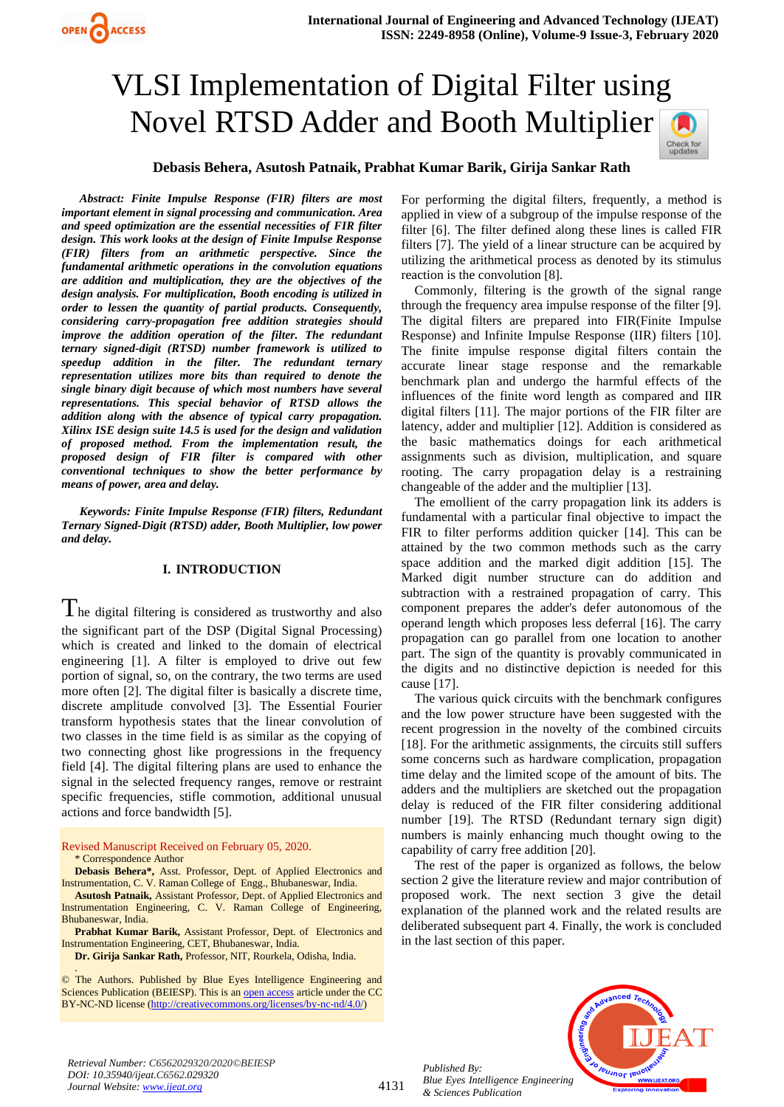

## **Debasis Behera, Asutosh Patnaik, Prabhat Kumar Barik, Girija Sankar Rath**

*Abstract: Finite Impulse Response (FIR) filters are most important element in signal processing and communication. Area and speed optimization are the essential necessities of FIR filter design. This work looks at the design of Finite Impulse Response (FIR) filters from an arithmetic perspective. Since the fundamental arithmetic operations in the convolution equations are addition and multiplication, they are the objectives of the design analysis. For multiplication, Booth encoding is utilized in order to lessen the quantity of partial products. Consequently, considering carry-propagation free addition strategies should improve the addition operation of the filter. The redundant ternary signed-digit (RTSD) number framework is utilized to speedup addition in the filter. The redundant ternary representation utilizes more bits than required to denote the single binary digit because of which most numbers have several representations. This special behavior of RTSD allows the addition along with the absence of typical carry propagation. Xilinx ISE design suite 14.5 is used for the design and validation of proposed method. From the implementation result, the proposed design of FIR filter is compared with other conventional techniques to show the better performance by means of power, area and delay.*

**OPEN CACCESS** 

*Keywords: Finite Impulse Response (FIR) filters, Redundant Ternary Signed-Digit (RTSD) adder, Booth Multiplier, low power and delay.*

#### **I. INTRODUCTION**

 $T$ he digital filtering is considered as trustworthy and also the significant part of the DSP (Digital Signal Processing) which is created and linked to the domain of electrical engineering [1]. A filter is employed to drive out few portion of signal, so, on the contrary, the two terms are used more often [2]. The digital filter is basically a discrete time, discrete amplitude convolved [3]. The Essential Fourier transform hypothesis states that the linear convolution of two classes in the time field is as similar as the copying of two connecting ghost like progressions in the frequency field [4]. The digital filtering plans are used to enhance the signal in the selected frequency ranges, remove or restraint specific frequencies, stifle commotion, additional unusual actions and force bandwidth [5].

Revised Manuscript Received on February 05, 2020.

\* Correspondence Author

.

**Debasis Behera\*,** Asst. Professor, Dept. of Applied Electronics and Instrumentation, C. V. Raman College of Engg., Bhubaneswar, India.

**Asutosh Patnaik,** Assistant Professor, Dept. of Applied Electronics and Instrumentation Engineering, C. V. Raman College of Engineering, Bhubaneswar, India.

**Prabhat Kumar Barik,** Assistant Professor, Dept. of Electronics and Instrumentation Engineering, CET, Bhubaneswar, India.

© The Authors. Published by Blue Eyes Intelligence Engineering and Sciences Publication (BEIESP). This is a[n open access](https://www.openaccess.nl/en/open-publications) article under the CC BY-NC-ND license [\(http://creativecommons.org/licenses/by-nc-nd/4.0/\)](http://creativecommons.org/licenses/by-nc-nd/4.0/)

For performing the digital filters, frequently, a method is applied in view of a subgroup of the impulse response of the filter [6]. The filter defined along these lines is called FIR filters [7]. The yield of a linear structure can be acquired by utilizing the arithmetical process as denoted by its stimulus reaction is the convolution [8].

Commonly, filtering is the growth of the signal range through the frequency area impulse response of the filter [9]. The digital filters are prepared into FIR(Finite Impulse Response) and Infinite Impulse Response (IIR) filters [10]. The finite impulse response digital filters contain the accurate linear stage response and the remarkable benchmark plan and undergo the harmful effects of the influences of the finite word length as compared and IIR digital filters [11]. The major portions of the FIR filter are latency, adder and multiplier [12]. Addition is considered as the basic mathematics doings for each arithmetical assignments such as division, multiplication, and square rooting. The carry propagation delay is a restraining changeable of the adder and the multiplier [13].

The emollient of the carry propagation link its adders is fundamental with a particular final objective to impact the FIR to filter performs addition quicker [14]. This can be attained by the two common methods such as the carry space addition and the marked digit addition [15]. The Marked digit number structure can do addition and subtraction with a restrained propagation of carry. This component prepares the adder's defer autonomous of the operand length which proposes less deferral [16]. The carry propagation can go parallel from one location to another part. The sign of the quantity is provably communicated in the digits and no distinctive depiction is needed for this cause [17].

The various quick circuits with the benchmark configures and the low power structure have been suggested with the recent progression in the novelty of the combined circuits [18]. For the arithmetic assignments, the circuits still suffers some concerns such as hardware complication, propagation time delay and the limited scope of the amount of bits. The adders and the multipliers are sketched out the propagation delay is reduced of the FIR filter considering additional number [19]. The RTSD (Redundant ternary sign digit) numbers is mainly enhancing much thought owing to the capability of carry free addition [20].

The rest of the paper is organized as follows, the below section 2 give the literature review and major contribution of proposed work. The next section 3 give the detail explanation of the planned work and the related results are deliberated subsequent part 4. Finally, the work is concluded in the last section of this paper.

*Published By: Blue Eyes Intelligence Engineering & Sciences Publication* 



*Retrieval Number: C6562029320/2020©BEIESP DOI: 10.35940/ijeat.C6562.029320 Journal Website[: www.ijeat.org](http://www.ijeat.org/)*

**Dr. Girija Sankar Rath,** Professor, NIT, Rourkela, Odisha, India.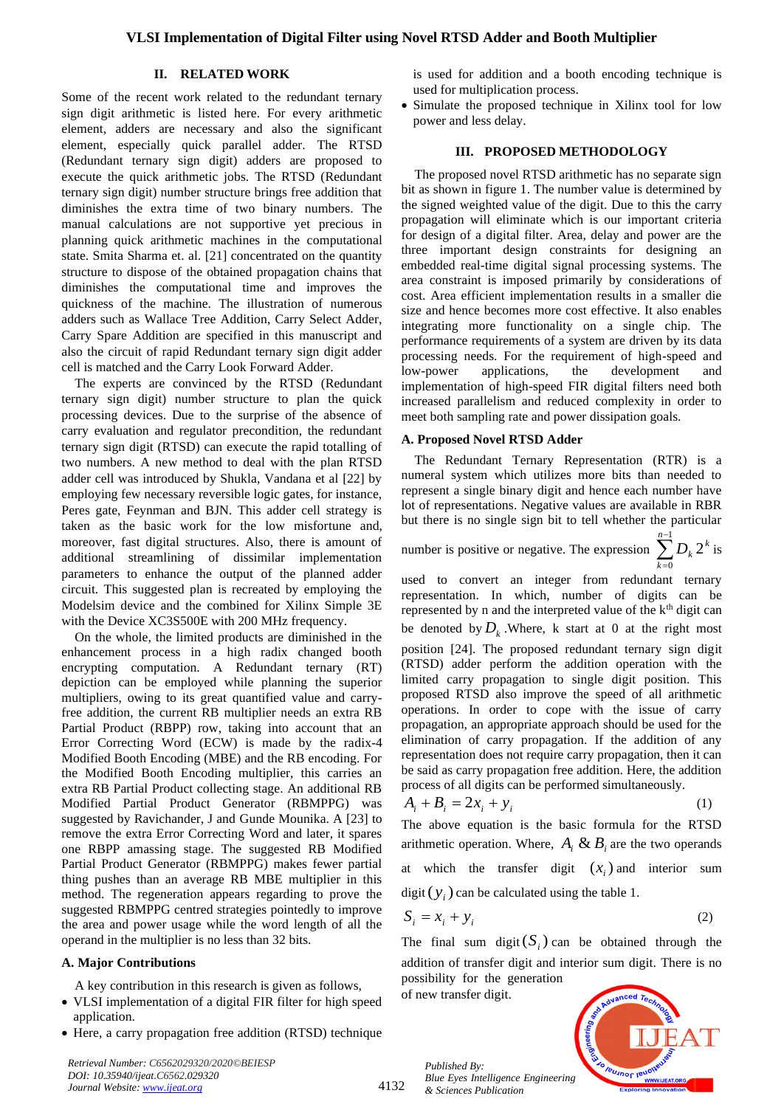#### **II. RELATED WORK**

Some of the recent work related to the redundant ternary sign digit arithmetic is listed here. For every arithmetic element, adders are necessary and also the significant element, especially quick parallel adder. The RTSD (Redundant ternary sign digit) adders are proposed to execute the quick arithmetic jobs. The RTSD (Redundant ternary sign digit) number structure brings free addition that diminishes the extra time of two binary numbers. The manual calculations are not supportive yet precious in planning quick arithmetic machines in the computational state. Smita Sharma et. al. [21] concentrated on the quantity structure to dispose of the obtained propagation chains that diminishes the computational time and improves the quickness of the machine. The illustration of numerous adders such as Wallace Tree Addition, Carry Select Adder, Carry Spare Addition are specified in this manuscript and also the circuit of rapid Redundant ternary sign digit adder cell is matched and the Carry Look Forward Adder.

The experts are convinced by the RTSD (Redundant ternary sign digit) number structure to plan the quick processing devices. Due to the surprise of the absence of carry evaluation and regulator precondition, the redundant ternary sign digit (RTSD) can execute the rapid totalling of two numbers. A new method to deal with the plan RTSD adder cell was introduced by Shukla, Vandana et al [22] by employing few necessary reversible logic gates, for instance, Peres gate, Feynman and BJN. This adder cell strategy is taken as the basic work for the low misfortune and, moreover, fast digital structures. Also, there is amount of additional streamlining of dissimilar implementation parameters to enhance the output of the planned adder circuit. This suggested plan is recreated by employing the Modelsim device and the combined for Xilinx Simple 3E with the Device XC3S500E with 200 MHz frequency.

On the whole, the limited products are diminished in the enhancement process in a high radix changed booth encrypting computation. A Redundant ternary (RT) depiction can be employed while planning the superior multipliers, owing to its great quantified value and carryfree addition, the current RB multiplier needs an extra RB Partial Product (RBPP) row, taking into account that an Error Correcting Word (ECW) is made by the radix-4 Modified Booth Encoding (MBE) and the RB encoding. For the Modified Booth Encoding multiplier, this carries an extra RB Partial Product collecting stage. An additional RB Modified Partial Product Generator (RBMPPG) was suggested by Ravichander, J and Gunde Mounika. A [23] to remove the extra Error Correcting Word and later, it spares one RBPP amassing stage. The suggested RB Modified Partial Product Generator (RBMPPG) makes fewer partial thing pushes than an average RB MBE multiplier in this method. The regeneration appears regarding to prove the suggested RBMPPG centred strategies pointedly to improve the area and power usage while the word length of all the operand in the multiplier is no less than 32 bits.

#### **A. Major Contributions**

A key contribution in this research is given as follows,

- VLSI implementation of a digital FIR filter for high speed application.
- Here, a carry propagation free addition (RTSD) technique

*Retrieval Number: C6562029320/2020©BEIESP DOI: 10.35940/ijeat.C6562.029320 Journal Website[: www.ijeat.org](http://www.ijeat.org/)*

is used for addition and a booth encoding technique is used for multiplication process.

• Simulate the proposed technique in Xilinx tool for low power and less delay.

#### **III. PROPOSED METHODOLOGY**

The proposed novel RTSD arithmetic has no separate sign bit as shown in figure 1. The number value is determined by the signed weighted value of the digit. Due to this the carry propagation will eliminate which is our important criteria for design of a digital filter. Area, delay and power are the three important design constraints for designing an embedded real-time digital signal processing systems. The area constraint is imposed primarily by considerations of cost. Area efficient implementation results in a smaller die size and hence becomes more cost effective. It also enables integrating more functionality on a single chip. The performance requirements of a system are driven by its data processing needs. For the requirement of high-speed and low-power applications, the development and implementation of high-speed FIR digital filters need both increased parallelism and reduced complexity in order to meet both sampling rate and power dissipation goals.

#### **A. Proposed Novel RTSD Adder**

The Redundant Ternary Representation (RTR) is a numeral system which utilizes more bits than needed to represent a single binary digit and hence each number have lot of representations. Negative values are available in RBR but there is no single sign bit to tell whether the particular

number is positive or negative. The expression 
$$
\sum_{k=0}^{n-1} D_k 2^k
$$
 is

used to convert an integer from redundant ternary representation. In which, number of digits can be represented by n and the interpreted value of the k<sup>th</sup> digit can be denoted by  $D_k$ . Where, k start at 0 at the right most position [24]. The proposed redundant ternary sign digit (RTSD) adder perform the addition operation with the limited carry propagation to single digit position. This proposed RTSD also improve the speed of all arithmetic operations. In order to cope with the issue of carry propagation, an appropriate approach should be used for the elimination of carry propagation. If the addition of any representation does not require carry propagation, then it can be said as carry propagation free addition. Here, the addition process of all digits can be performed simultaneously.

$$
A_i + B_i = 2x_i + y_i \tag{1}
$$

The above equation is the basic formula for the RTSD arithmetic operation. Where,  $A_i \& B_i$  are the two operands at which the transfer digit  $(x_i)$  and interior sum digit  $(y_i)$  can be calculated using the table 1.

$$
S_i = x_i + y_i \tag{2}
$$

The final sum digit( $S_i$ ) can be obtained through the addition of transfer digit and interior sum digit. There is no possibility for the generation

of new transfer digit.

4132



*Published By: Blue Eyes Intelligence Engineering & Sciences Publication*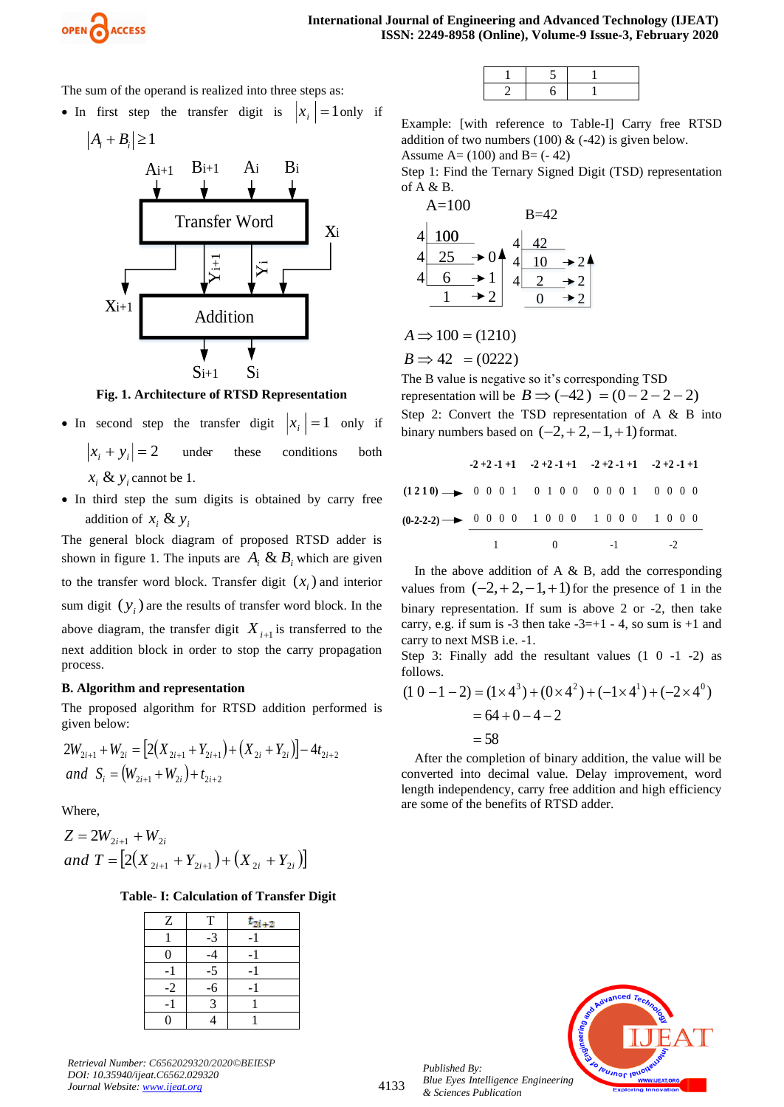

The sum of the operand is realized into three steps as:

• In first step the transfer digit is  $x_i$  = 1 only if

$$
|A_i + B_i| \ge 1
$$



**Fig. 1. Architecture of RTSD Representation**

- In second step the transfer digit  $|x_i|$  $= 1$  only if  $x_i + y_i = 2$ under these conditions both  $x_i \& y_i$  cannot be 1.
- In third step the sum digits is obtained by carry free addition of  $x_i \& y_i$

The general block diagram of proposed RTSD adder is shown in figure 1. The inputs are  $A_i \& B_i$  which are given to the transfer word block. Transfer digit  $(x_i)$  and interior sum digit  $(y_i)$  are the results of transfer word block. In the above diagram, the transfer digit  $X_{i+1}$  is transferred to the next addition block in order to stop the carry propagation process.

#### **B. Algorithm and representation**

The proposed algorithm for RTSD addition performed is given below:

$$
2W_{2i+1} + W_{2i} = [2(X_{2i+1} + Y_{2i+1}) + (X_{2i} + Y_{2i})] - 4t_{2i+2}
$$
  
and  $S_i = (W_{2i+1} + W_{2i}) + t_{2i+2}$ 

Where,

$$
Z = 2W_{2i+1} + W_{2i}
$$
  
and 
$$
T = [2(X_{2i+1} + Y_{2i+1}) + (X_{2i} + Y_{2i})]
$$

*Retrieval Number: C6562029320/2020©BEIESP*

*DOI: 10.35940/ijeat.C6562.029320 Journal Website[: www.ijeat.org](http://www.ijeat.org/)*

## **Table- I: Calculation of Transfer Digit**

| $\mathbf{Z}% ^{T}=\mathbf{Z}^{T}\times\mathbf{Z}^{T}$ | T    | $t_{2i+2}$ |
|-------------------------------------------------------|------|------------|
|                                                       | $-3$ |            |
|                                                       |      |            |
|                                                       | $-5$ | - 1        |
| $-2$                                                  | $-6$ |            |
|                                                       |      |            |
|                                                       |      |            |

Example: [with reference to Table-I] Carry free RTSD addition of two numbers (100)  $& ( -42)$  is given below.

Assume  $A = (100)$  and  $B = (-42)$ Step 1: Find the Ternary Signed Digit (TSD) representation

of A & B.



 $B \Rightarrow 42 = (0222)$  $A \implies 100 = (1210)$ 

The B value is negative so it's corresponding TSD representation will be  $B \implies (-42) = (0 - 2 - 2 - 2)$ Step 2: Convert the TSD representation of A & B into binary numbers based on  $(-2, +2, -1, +1)$  format.

|                                                               |  | $-2+2-1+1$ $-2+2-1+1$ $-2+2-1+1$ $-2+2-1+1$ |  |
|---------------------------------------------------------------|--|---------------------------------------------|--|
| $(1210) \rightarrow 00010100000010000$                        |  |                                             |  |
| $(0-2-2-2)$ $\longrightarrow$ 0 0 0 0 1 0 0 0 1 0 0 0 1 0 0 0 |  |                                             |  |
|                                                               |  | $1 \t 0 \t -1 \t -2$                        |  |

In the above addition of A  $\&$  B, add the corresponding values from  $(-2, +2, -1, +1)$  for the presence of 1 in the binary representation. If sum is above 2 or -2, then take carry, e.g. if sum is  $-3$  then take  $-3=+1$  - 4, so sum is  $+1$  and carry to next MSB i.e. -1.

Step 3: Finally add the resultant values  $(1 \ 0 \ -1 \ -2)$  as follows.

$$
(1\ 0 - 1 - 2) = (1 \times 4^3) + (0 \times 4^2) + (-1 \times 4^1) + (-2 \times 4^0)
$$
  
= 64 + 0 - 4 - 2  
= 58

After the completion of binary addition, the value will be converted into decimal value. Delay improvement, word length independency, carry free addition and high efficiency are some of the benefits of RTSD adder.



*Published By: Blue Eyes Intelligence Engineering & Sciences Publication*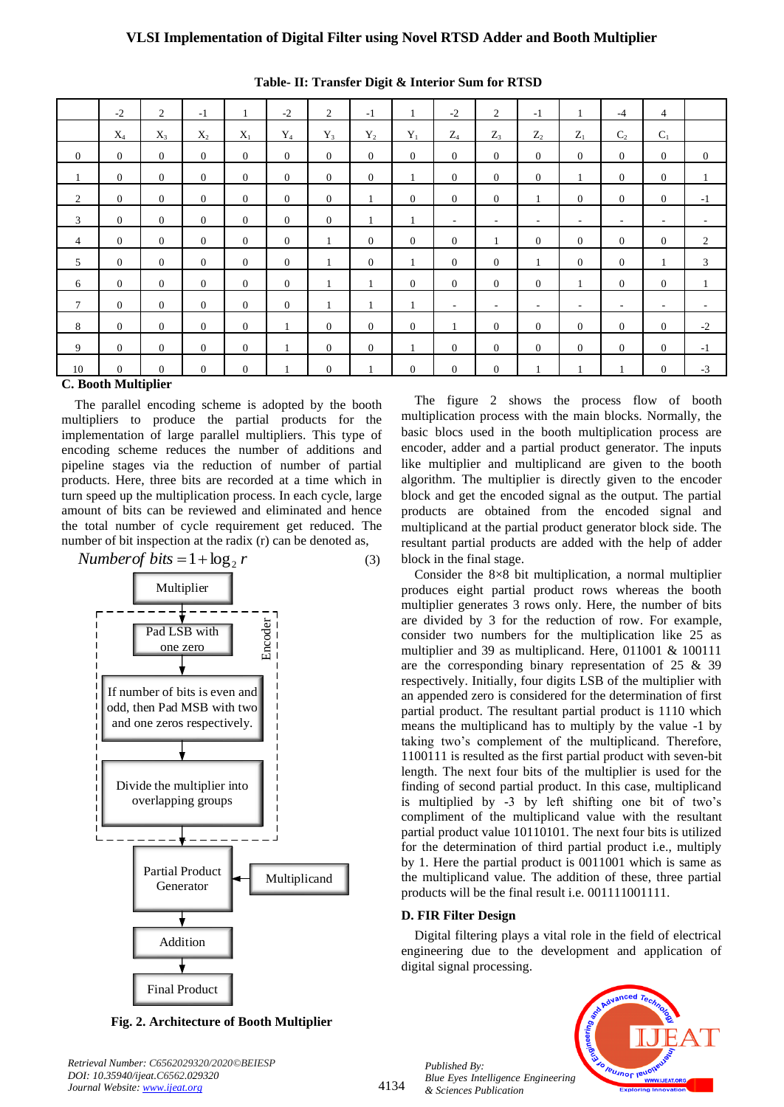|                | $-2$           | 2              | $-1$           |                | $-2$           | 2              | $-1$           |                | $-2$           | 2              | $-1$           | 1                        | $-4$                     | $\overline{4}$ |                          |
|----------------|----------------|----------------|----------------|----------------|----------------|----------------|----------------|----------------|----------------|----------------|----------------|--------------------------|--------------------------|----------------|--------------------------|
|                | $X_4$          | $X_3$          | $X_2$          | $X_1$          | $Y_4$          | $Y_3$          | $Y_2$          | $Y_1$          | $Z_4$          | $Z_3$          | $Z_2$          | $Z_1$                    | C <sub>2</sub>           | $C_1$          |                          |
| $\overline{0}$ | $\overline{0}$ | $\overline{0}$ | $\overline{0}$ | $\overline{0}$ | $\overline{0}$ | $\overline{0}$ | $\overline{0}$ | $\overline{0}$ | $\overline{0}$ | $\overline{0}$ | $\overline{0}$ | $\overline{0}$           | $\overline{0}$           | $\overline{0}$ | $\overline{0}$           |
| 1              | $\overline{0}$ | $\overline{0}$ | $\overline{0}$ | $\overline{0}$ | $\overline{0}$ | $\overline{0}$ | $\overline{0}$ | 1              | $\overline{0}$ | $\overline{0}$ | $\overline{0}$ | 1                        | $\overline{0}$           | $\overline{0}$ | 1                        |
| $\overline{2}$ | $\Omega$       | $\overline{0}$ | $\overline{0}$ | $\Omega$       | $\overline{0}$ | $\theta$       |                | $\overline{0}$ | $\overline{0}$ | $\overline{0}$ | $\mathbf{1}$   | $\overline{0}$           | $\overline{0}$           | $\overline{0}$ | $-1$                     |
| 3              | $\theta$       | $\overline{0}$ | $\theta$       | $\overline{0}$ | $\overline{0}$ | $\overline{0}$ |                | 1              | $\sim$         | $\sim$         | $\sim$         | $\overline{\phantom{a}}$ | $\overline{\phantom{a}}$ | ٠              |                          |
| $\overline{4}$ | $\Omega$       | $\Omega$       | $\theta$       | $\Omega$       | $\Omega$       | 1              | $\Omega$       | $\Omega$       | $\overline{0}$ |                | $\overline{0}$ | $\overline{0}$           | $\Omega$                 | $\overline{0}$ | 2                        |
| 5              | $\overline{0}$ | $\overline{0}$ | $\theta$       | $\overline{0}$ | $\overline{0}$ | 1              | $\overline{0}$ |                | $\overline{0}$ | $\overline{0}$ | 1              | $\overline{0}$           | $\overline{0}$           | $\mathbf{1}$   | 3                        |
| 6              | $\overline{0}$ | $\overline{0}$ | $\overline{0}$ | $\overline{0}$ | $\overline{0}$ | 1              |                | $\overline{0}$ | $\mathbf{0}$   | $\overline{0}$ | $\overline{0}$ | 1                        | $\overline{0}$           | $\overline{0}$ | -1                       |
| $\tau$         | $\overline{0}$ | $\overline{0}$ | $\theta$       | $\Omega$       | $\overline{0}$ | 1              |                | $\mathbf{1}$   | $\sim$         | $\sim$         | н.             | $\overline{\phantom{a}}$ | $\overline{\phantom{a}}$ | ٠              | $\overline{\phantom{a}}$ |
| 8              | $\overline{0}$ | $\Omega$       | $\theta$       | $\overline{0}$ | 1              | $\theta$       | $\Omega$       | $\overline{0}$ | 1              | $\overline{0}$ | $\overline{0}$ | $\overline{0}$           | $\overline{0}$           | $\overline{0}$ | $-2$                     |
| 9              | $\Omega$       | $\Omega$       | $\overline{0}$ | $\theta$       | $\mathbf{1}$   | $\theta$       | $\theta$       | 1              | $\mathbf{0}$   | $\theta$       | $\theta$       | $\theta$                 | $\Omega$                 | $\overline{0}$ | $-1$                     |
| 10             | $\overline{0}$ | $\overline{0}$ | $\theta$       | $\overline{0}$ |                | $\theta$       |                | $\overline{0}$ | $\mathbf{0}$   | $\overline{0}$ | 1              | 1                        |                          | $\overline{0}$ | $-3$                     |

| Table- II: Transfer Digit & Interior Sum for RTSD |  |  |  |  |  |  |  |
|---------------------------------------------------|--|--|--|--|--|--|--|
|---------------------------------------------------|--|--|--|--|--|--|--|

**C. Booth Multiplier**

The parallel encoding scheme is adopted by the booth multipliers to produce the partial products for the implementation of large parallel multipliers. This type of encoding scheme reduces the number of additions and pipeline stages via the reduction of number of partial products. Here, three bits are recorded at a time which in turn speed up the multiplication process. In each cycle, large amount of bits can be reviewed and eliminated and hence the total number of cycle requirement get reduced. The number of bit inspection at the radix (r) can be denoted as,



**Fig. 2. Architecture of Booth Multiplier**

*Retrieval Number: C6562029320/2020©BEIESP*

*DOI: 10.35940/ijeat.C6562.029320 Journal Website[: www.ijeat.org](http://www.ijeat.org/)*

The figure 2 shows the process flow of booth multiplication process with the main blocks. Normally, the basic blocs used in the booth multiplication process are encoder, adder and a partial product generator. The inputs like multiplier and multiplicand are given to the booth algorithm. The multiplier is directly given to the encoder block and get the encoded signal as the output. The partial products are obtained from the encoded signal and multiplicand at the partial product generator block side. The resultant partial products are added with the help of adder block in the final stage.

Consider the 8×8 bit multiplication, a normal multiplier produces eight partial product rows whereas the booth multiplier generates 3 rows only. Here, the number of bits are divided by 3 for the reduction of row. For example, consider two numbers for the multiplication like 25 as multiplier and 39 as multiplicand. Here, 011001 & 100111 are the corresponding binary representation of 25 & 39 respectively. Initially, four digits LSB of the multiplier with an appended zero is considered for the determination of first partial product. The resultant partial product is 1110 which means the multiplicand has to multiply by the value -1 by taking two's complement of the multiplicand. Therefore, 1100111 is resulted as the first partial product with seven-bit length. The next four bits of the multiplier is used for the finding of second partial product. In this case, multiplicand is multiplied by -3 by left shifting one bit of two's compliment of the multiplicand value with the resultant partial product value 10110101. The next four bits is utilized for the determination of third partial product i.e., multiply by 1. Here the partial product is 0011001 which is same as the multiplicand value. The addition of these, three partial products will be the final result i.e. 001111001111.

#### **D. FIR Filter Design**

Digital filtering plays a vital role in the field of electrical engineering due to the development and application of digital signal processing.

*Published By: Blue Eyes Intelligence Engineering & Sciences Publication* 

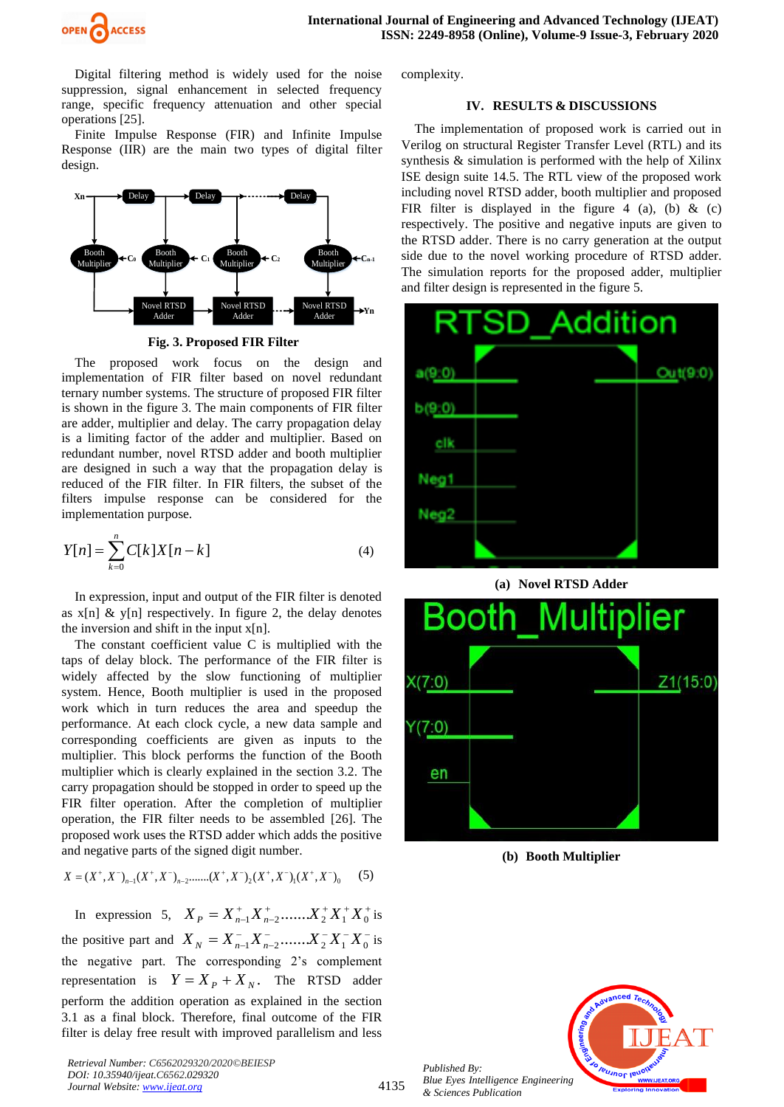

Digital filtering method is widely used for the noise suppression, signal enhancement in selected frequency range, specific frequency attenuation and other special operations [25].

Finite Impulse Response (FIR) and Infinite Impulse Response (IIR) are the main two types of digital filter design.



**Fig. 3. Proposed FIR Filter**

The proposed work focus on the design and implementation of FIR filter based on novel redundant ternary number systems. The structure of proposed FIR filter is shown in the figure 3. The main components of FIR filter are adder, multiplier and delay. The carry propagation delay is a limiting factor of the adder and multiplier. Based on redundant number, novel RTSD adder and booth multiplier are designed in such a way that the propagation delay is reduced of the FIR filter. In FIR filters, the subset of the filters impulse response can be considered for the implementation purpose.

$$
Y[n] = \sum_{k=0}^{n} C[k]X[n-k]
$$
 (4)

In expression, input and output of the FIR filter is denoted as  $x[n]$  & y[n] respectively. In figure 2, the delay denotes the inversion and shift in the input  $x[n]$ .

The constant coefficient value C is multiplied with the taps of delay block. The performance of the FIR filter is widely affected by the slow functioning of multiplier system. Hence, Booth multiplier is used in the proposed work which in turn reduces the area and speedup the performance. At each clock cycle, a new data sample and corresponding coefficients are given as inputs to the multiplier. This block performs the function of the Booth multiplier which is clearly explained in the section 3.2. The carry propagation should be stopped in order to speed up the FIR filter operation. After the completion of multiplier operation, the FIR filter needs to be assembled [26]. The proposed work uses the RTSD adder which adds the positive and negative parts of the signed digit number.

$$
X = (X^+, X^-)_{n-1}(X^+, X^-)_{n-2} \dots (X^+, X^-)_2(X^+, X^-)_1(X^+, X^-)_0 \tag{5}
$$

In expression 5,  $X_p = X_{n-1}^+ X_{n-2}^+ \dots X_2^+ X_1^+ X_0^+$  is the positive part and  $X_N = X_{n-1}^- X_{n-2}^- \dots X_2^- X_1^- X_0^ X_N = X_{n-1}^- X_{n-2}^- \dots X_2^- X_1^- X_0^-$  is the negative part. The corresponding 2's complement representation is  $Y = X_p + X_N$ . The RTSD adder perform the addition operation as explained in the section 3.1 as a final block. Therefore, final outcome of the FIR filter is delay free result with improved parallelism and less

*Retrieval Number: C6562029320/2020©BEIESP DOI: 10.35940/ijeat.C6562.029320 Journal Website[: www.ijeat.org](http://www.ijeat.org/)*

complexity.

#### **IV. RESULTS & DISCUSSIONS**

The implementation of proposed work is carried out in Verilog on structural Register Transfer Level (RTL) and its synthesis & simulation is performed with the help of Xilinx ISE design suite 14.5. The RTL view of the proposed work including novel RTSD adder, booth multiplier and proposed FIR filter is displayed in the figure 4 (a), (b)  $\&$  (c) respectively. The positive and negative inputs are given to the RTSD adder. There is no carry generation at the output side due to the novel working procedure of RTSD adder. The simulation reports for the proposed adder, multiplier and filter design is represented in the figure 5.



**(a) Novel RTSD Adder**



**(b) Booth Multiplier**



*Published By: Blue Eyes Intelligence Engineering & Sciences Publication*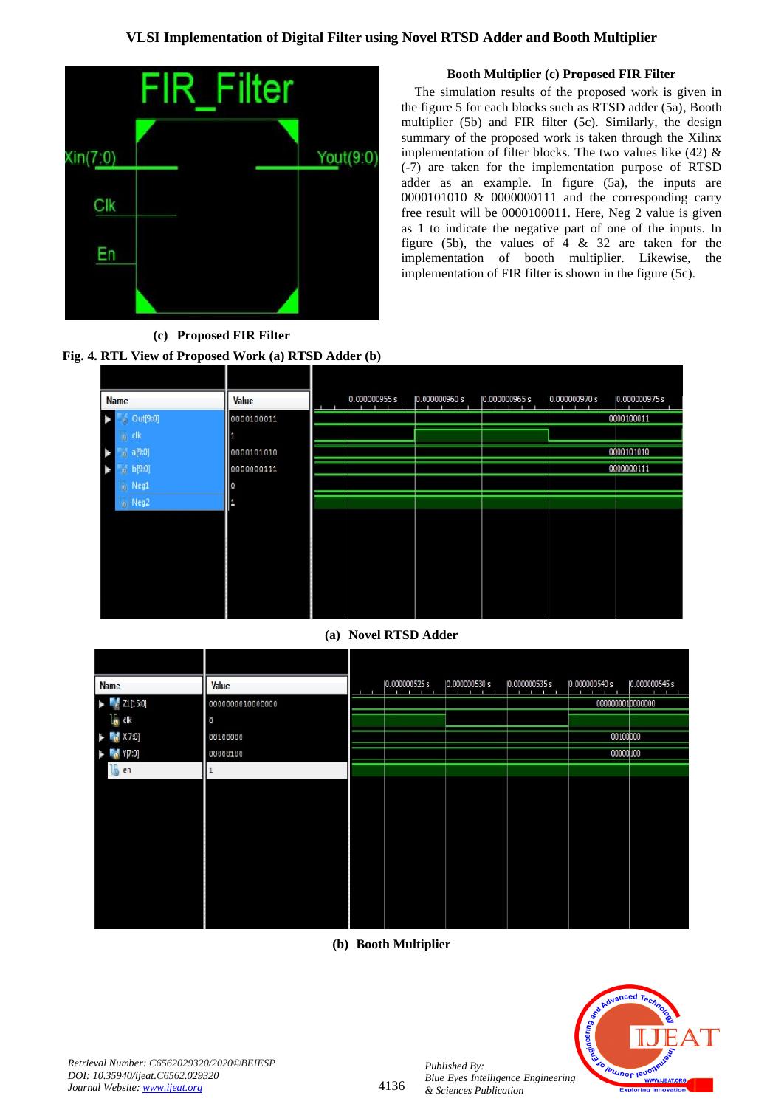

## **Booth Multiplier (c) Proposed FIR Filter**

The simulation results of the proposed work is given in the figure 5 for each blocks such as RTSD adder (5a), Booth multiplier (5b) and FIR filter (5c). Similarly, the design summary of the proposed work is taken through the Xilinx implementation of filter blocks. The two values like  $(42)$  & (-7) are taken for the implementation purpose of RTSD adder as an example. In figure (5a), the inputs are 0000101010 & 0000000111 and the corresponding carry free result will be 0000100011. Here, Neg 2 value is given as 1 to indicate the negative part of one of the inputs. In figure (5b), the values of  $4 \& 32$  are taken for the implementation of booth multiplier. Likewise, the implementation of FIR filter is shown in the figure (5c).



| <b>Name</b> |                                                | Value      | 0.000000955s | 0.000000960 s | 0.000000965s | 0.000000970 s | 0.000000975s |
|-------------|------------------------------------------------|------------|--------------|---------------|--------------|---------------|--------------|
|             | $\begin{bmatrix} 1 & 0 \\ 0 & 0 \end{bmatrix}$ | 0000100011 |              |               |              |               | 0000100011   |
|             | $\frac{1}{20}$ clk                             |            |              |               |              |               |              |
|             | $0$ a[9:0]                                     | 0000101010 |              |               |              |               | 0000101010   |
| B           | $_0$ b[9:0]                                    | 0000000111 |              |               |              |               | 0000000111   |
|             | <b>b</b> Neg1                                  | O          |              |               |              |               |              |
|             | $\circ$ Neg2                                   | 1          |              |               |              |               |              |
|             |                                                |            |              |               |              |               |              |
|             |                                                |            |              |               |              |               |              |
|             |                                                |            |              |               |              |               |              |
|             |                                                |            |              |               |              |               |              |
|             |                                                |            |              |               |              |               |              |
|             |                                                |            |              |               |              |               |              |
|             |                                                |            |              |               |              |               |              |

## **(a) Novel RTSD Adder**

|   | Name                                                                                                                                                                                                                                                                                                                                                                                                                                                                                          | Value            | 0.000000525s | 0.000000530 s<br>. .<br>. . | 0.000000535s<br>÷ | 0.000000540 s    | 0.000000545s |
|---|-----------------------------------------------------------------------------------------------------------------------------------------------------------------------------------------------------------------------------------------------------------------------------------------------------------------------------------------------------------------------------------------------------------------------------------------------------------------------------------------------|------------------|--------------|-----------------------------|-------------------|------------------|--------------|
|   | $\blacktriangleright$ $\blacksquare$ $\blacksquare$ $\blacksquare$ $\blacksquare$ $\blacksquare$ $\blacksquare$ $\blacksquare$ $\blacksquare$ $\blacksquare$ $\blacksquare$ $\blacksquare$ $\blacksquare$ $\blacksquare$ $\blacksquare$ $\blacksquare$ $\blacksquare$ $\blacksquare$ $\blacksquare$ $\blacksquare$ $\blacksquare$ $\blacksquare$ $\blacksquare$ $\blacksquare$ $\blacksquare$ $\blacksquare$ $\blacksquare$ $\blacksquare$ $\blacksquare$ $\blacksquare$ $\blacksquare$ $\bl$ | 0000000010000000 |              |                             |                   | 0000000010000000 |              |
|   | 1 <mark>1</mark> dk                                                                                                                                                                                                                                                                                                                                                                                                                                                                           | 0                |              |                             |                   |                  |              |
|   | $\blacktriangleright$ $X[7:0]$                                                                                                                                                                                                                                                                                                                                                                                                                                                                | 00100000         |              |                             |                   | 00100000         |              |
| ٠ | $\sqrt{70}$                                                                                                                                                                                                                                                                                                                                                                                                                                                                                   | 00000100         |              |                             |                   | 00000100         |              |
|   | 16<br>en                                                                                                                                                                                                                                                                                                                                                                                                                                                                                      |                  |              |                             |                   |                  |              |
|   |                                                                                                                                                                                                                                                                                                                                                                                                                                                                                               |                  |              |                             |                   |                  |              |
|   |                                                                                                                                                                                                                                                                                                                                                                                                                                                                                               |                  |              |                             |                   |                  |              |
|   |                                                                                                                                                                                                                                                                                                                                                                                                                                                                                               |                  |              |                             |                   |                  |              |
|   |                                                                                                                                                                                                                                                                                                                                                                                                                                                                                               |                  |              |                             |                   |                  |              |
|   |                                                                                                                                                                                                                                                                                                                                                                                                                                                                                               |                  |              |                             |                   |                  |              |
|   |                                                                                                                                                                                                                                                                                                                                                                                                                                                                                               |                  |              |                             |                   |                  |              |
|   |                                                                                                                                                                                                                                                                                                                                                                                                                                                                                               |                  |              |                             |                   |                  |              |
|   |                                                                                                                                                                                                                                                                                                                                                                                                                                                                                               |                  |              |                             |                   |                  |              |
|   |                                                                                                                                                                                                                                                                                                                                                                                                                                                                                               |                  |              |                             |                   |                  |              |

## **(b) Booth Multiplier**



*Published By:*

*& Sciences Publication*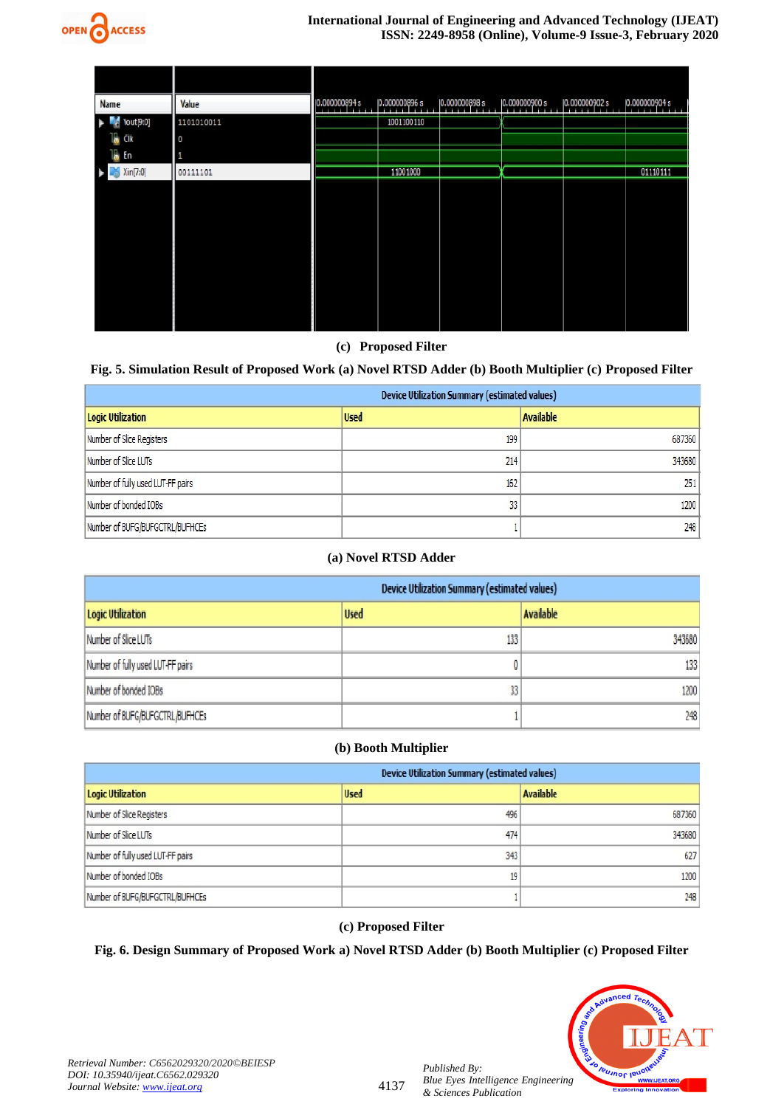

| <b>Name</b>               | Value      | 0.000000894s<br>. 1 | 0.000000896s | 0.000000898s<br>. | 0.000000900 s<br><b>Provide</b> | 0.000000902s<br><b>A 10 10</b> | 0.000000904s<br><b>ATTEN</b> |
|---------------------------|------------|---------------------|--------------|-------------------|---------------------------------|--------------------------------|------------------------------|
| $\blacksquare$ Yout [9:0] | 1101010011 |                     | 1001100110   |                   |                                 |                                |                              |
| <b>I</b> CIK              | O          |                     |              |                   |                                 |                                |                              |
| l <mark>a</mark> En       | 1          |                     |              |                   |                                 |                                |                              |
| Xin[7:0]                  | 00111101   |                     | 11001000     |                   |                                 |                                | 01110111                     |
|                           |            |                     |              |                   |                                 |                                |                              |
|                           |            |                     |              |                   |                                 |                                |                              |
|                           |            |                     |              |                   |                                 |                                |                              |
|                           |            |                     |              |                   |                                 |                                |                              |
|                           |            |                     |              |                   |                                 |                                |                              |
|                           |            |                     |              |                   |                                 |                                |                              |
|                           |            |                     |              |                   |                                 |                                |                              |
|                           |            |                     |              |                   |                                 |                                |                              |
|                           |            |                     |              |                   |                                 |                                |                              |

## **(c) Proposed Filter**

## **Fig. 5. Simulation Result of Proposed Work (a) Novel RTSD Adder (b) Booth Multiplier (c) Proposed Filter**

| <b>Device Utilization Summary (estimated values)</b> |             |                  |  |  |  |
|------------------------------------------------------|-------------|------------------|--|--|--|
| <b>Logic Utilization</b>                             | <b>Used</b> | <b>Available</b> |  |  |  |
| Number of Slice Registers                            | 199         | 687360           |  |  |  |
| Number of Slice LUTs                                 | 214         | 343680           |  |  |  |
| Number of fully used LUT-FF pairs                    | 162         | 251              |  |  |  |
| Number of bonded IOBs                                | 33          | 1200             |  |  |  |
| Number of BUFG/BUFGCTRL/BUFHCEs                      |             | 248              |  |  |  |

## **(a) Novel RTSD Adder**

| <b>Device Utilization Summary (estimated values)</b> |             |                  |  |  |  |
|------------------------------------------------------|-------------|------------------|--|--|--|
| <b>Logic Utilization</b>                             | <b>Used</b> | <b>Available</b> |  |  |  |
| Number of Slice LUTs                                 | 133         | 343680           |  |  |  |
| Number of fully used LUT-FF pairs                    |             | 133              |  |  |  |
| Number of bonded IOBs                                | 33          | 1200             |  |  |  |
| Number of BUFG/BUFGCTRL/BUFHCEs                      |             | 248              |  |  |  |

## **(b) Booth Multiplier**

| <b>Device Utilization Summary (estimated values)</b> |             |                  |  |  |  |
|------------------------------------------------------|-------------|------------------|--|--|--|
| <b>Logic Utilization</b>                             | <b>Used</b> | <b>Available</b> |  |  |  |
| Number of Slice Registers                            | 496         | 687360           |  |  |  |
| Number of Slice LUTs                                 | 474         | 343680           |  |  |  |
| Number of fully used LUT-FF pairs                    | 343         | 627              |  |  |  |
| Number of bonded IOBs                                | 19          | 1200             |  |  |  |
| Number of BUFG/BUFGCTRL/BUFHCEs                      |             | 248              |  |  |  |

## **(c) Proposed Filter**

## **Fig. 6. Design Summary of Proposed Work a) Novel RTSD Adder (b) Booth Multiplier (c) Proposed Filter**



*Retrieval Number: C6562029320/2020©BEIESP DOI: 10.35940/ijeat.C6562.029320 Journal Website[: www.ijeat.org](http://www.ijeat.org/)*

*Published By:*

*& Sciences Publication*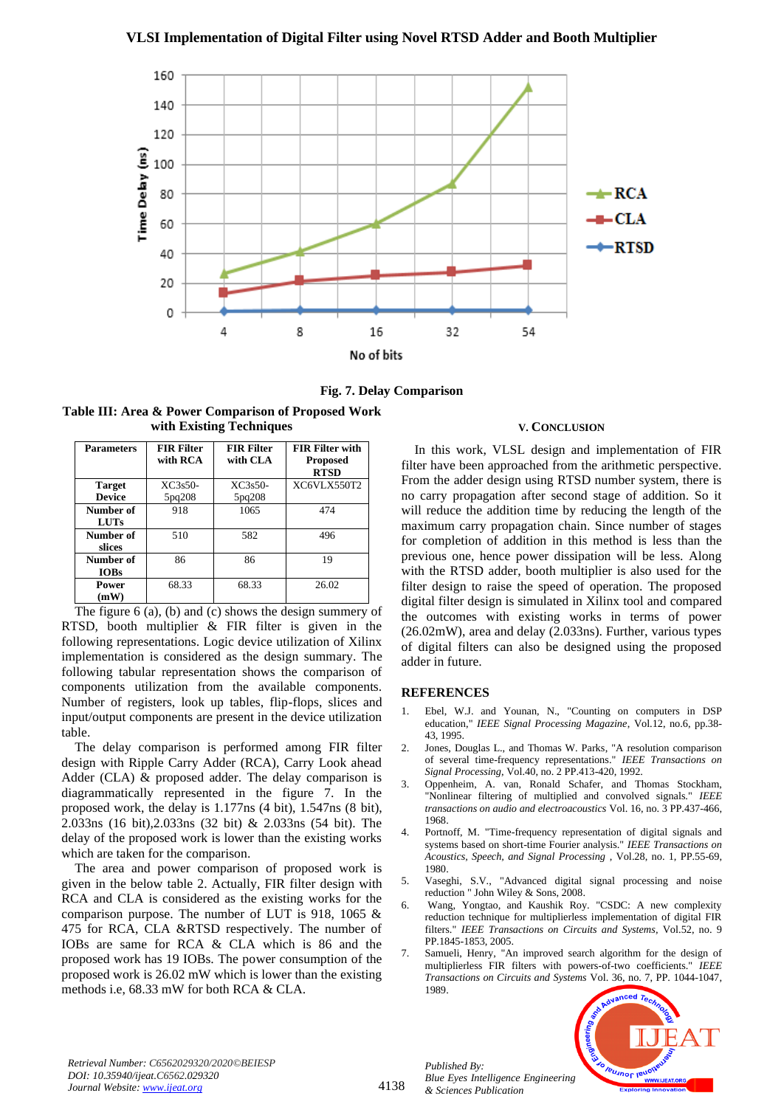

**Fig. 7. Delay Comparison** 

**Table III: Area & Power Comparison of Proposed Work with Existing Techniques**

| <b>Parameters</b>              | <b>FIR Filter</b><br>with RCA | <b>FIR Filter</b><br>with CLA | <b>FIR Filter with</b><br><b>Proposed</b><br><b>RTSD</b> |
|--------------------------------|-------------------------------|-------------------------------|----------------------------------------------------------|
| <b>Target</b><br><b>Device</b> | $XC3s50-$<br>5pq208           | $XC3s50-$<br>5pq208           | XC6VLX550T2                                              |
| Number of<br><b>LUTs</b>       | 918                           | 1065                          | 474                                                      |
| Number of<br>slices            | 510                           | 582                           | 496                                                      |
| Number of<br><b>IOBs</b>       | 86                            | 86                            | 19                                                       |
| Power<br>(mW)                  | 68.33                         | 68.33                         | 26.02                                                    |

The figure 6 (a), (b) and (c) shows the design summery of RTSD, booth multiplier & FIR filter is given in the following representations. Logic device utilization of Xilinx implementation is considered as the design summary. The following tabular representation shows the comparison of components utilization from the available components. Number of registers, look up tables, flip-flops, slices and input/output components are present in the device utilization table.

The delay comparison is performed among FIR filter design with Ripple Carry Adder (RCA), Carry Look ahead Adder (CLA) & proposed adder. The delay comparison is diagrammatically represented in the figure 7. In the proposed work, the delay is 1.177ns (4 bit), 1.547ns (8 bit), 2.033ns (16 bit),2.033ns (32 bit) & 2.033ns (54 bit). The delay of the proposed work is lower than the existing works which are taken for the comparison.

The area and power comparison of proposed work is given in the below table 2. Actually, FIR filter design with RCA and CLA is considered as the existing works for the comparison purpose. The number of LUT is 918, 1065 & 475 for RCA, CLA &RTSD respectively. The number of IOBs are same for RCA & CLA which is 86 and the proposed work has 19 IOBs. The power consumption of the proposed work is 26.02 mW which is lower than the existing methods i.e, 68.33 mW for both RCA & CLA.

#### **V. CONCLUSION**

In this work, VLSL design and implementation of FIR filter have been approached from the arithmetic perspective. From the adder design using RTSD number system, there is no carry propagation after second stage of addition. So it will reduce the addition time by reducing the length of the maximum carry propagation chain. Since number of stages for completion of addition in this method is less than the previous one, hence power dissipation will be less. Along with the RTSD adder, booth multiplier is also used for the filter design to raise the speed of operation. The proposed digital filter design is simulated in Xilinx tool and compared the outcomes with existing works in terms of power (26.02mW), area and delay (2.033ns). Further, various types of digital filters can also be designed using the proposed adder in future.

#### **REFERENCES**

- 1. Ebel, W.J. and Younan, N., "Counting on computers in DSP education," *IEEE Signal Processing Magazine*, Vol.12, no.6, pp.38- 43, 1995.
- 2. Jones, Douglas L., and Thomas W. Parks, "A resolution comparison of several time-frequency representations." *IEEE Transactions on Signal Processing*, Vol.40, no. 2 PP.413-420, 1992.
- 3. Oppenheim, A. van, Ronald Schafer, and Thomas Stockham, "Nonlinear filtering of multiplied and convolved signals." *IEEE transactions on audio and electroacoustics* Vol. 16, no. 3 PP.437-466, 1968.
- 4. Portnoff, M. "Time-frequency representation of digital signals and systems based on short-time Fourier analysis." *IEEE Transactions on Acoustics, Speech, and Signal Processing* , Vol.28, no. 1, PP.55-69, 1980.
- 5. Vaseghi, S.V., "Advanced digital signal processing and noise reduction " John Wiley & Sons, 2008.
- 6. Wang, Yongtao, and Kaushik Roy. "CSDC: A new complexity reduction technique for multiplierless implementation of digital FIR filters." *IEEE Transactions on Circuits and Systems,* Vol.52, no. 9 PP.1845-1853, 2005.
- 7. Samueli, Henry, "An improved search algorithm for the design of multiplierless FIR filters with powers-of-two coefficients." *IEEE Transactions on Circuits and Systems* Vol. 36, no. 7, PP. 1044-1047, 1989.



4138

*Published By: Blue Eyes Intelligence Engineering & Sciences Publication*